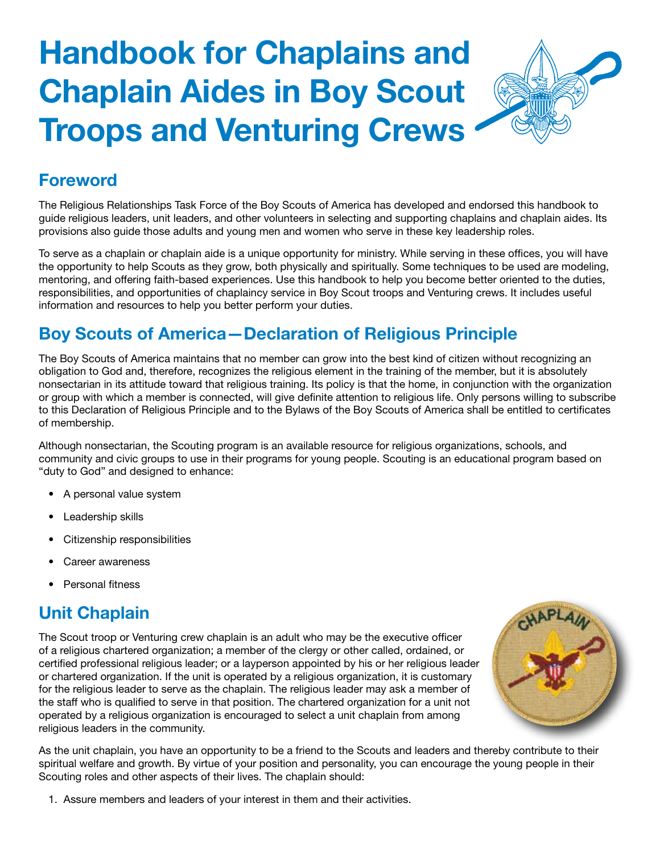# **Handbook for Chaplains and Chaplain Aides in Boy Scout Troops and Venturing Crews**



#### **Foreword**

The Religious Relationships Task Force of the Boy Scouts of America has developed and endorsed this handbook to guide religious leaders, unit leaders, and other volunteers in selecting and supporting chaplains and chaplain aides. Its provisions also guide those adults and young men and women who serve in these key leadership roles.

To serve as a chaplain or chaplain aide is a unique opportunity for ministry. While serving in these offices, you will have the opportunity to help Scouts as they grow, both physically and spiritually. Some techniques to be used are modeling, mentoring, and offering faith-based experiences. Use this handbook to help you become better oriented to the duties, responsibilities, and opportunities of chaplaincy service in Boy Scout troops and Venturing crews. It includes useful information and resources to help you better perform your duties.

### **Boy Scouts of America—Declaration of Religious Principle**

The Boy Scouts of America maintains that no member can grow into the best kind of citizen without recognizing an obligation to God and, therefore, recognizes the religious element in the training of the member, but it is absolutely nonsectarian in its attitude toward that religious training. Its policy is that the home, in conjunction with the organization or group with which a member is connected, will give definite attention to religious life. Only persons willing to subscribe to this Declaration of Religious Principle and to the Bylaws of the Boy Scouts of America shall be entitled to certificates of membership.

Although nonsectarian, the Scouting program is an available resource for religious organizations, schools, and community and civic groups to use in their programs for young people. Scouting is an educational program based on "duty to God" and designed to enhance:

- • A personal value system
- Leadership skills
- Citizenship responsibilities
- Career awareness
- Personal fitness

## **Unit Chaplain**

The Scout troop or Venturing crew chaplain is an adult who may be the executive officer of a religious chartered organization; a member of the clergy or other called, ordained, or certified professional religious leader; or a layperson appointed by his or her religious leader or chartered organization. If the unit is operated by a religious organization, it is customary for the religious leader to serve as the chaplain. The religious leader may ask a member of the staff who is qualified to serve in that position. The chartered organization for a unit not operated by a religious organization is encouraged to select a unit chaplain from among religious leaders in the community.



As the unit chaplain, you have an opportunity to be a friend to the Scouts and leaders and thereby contribute to their spiritual welfare and growth. By virtue of your position and personality, you can encourage the young people in their Scouting roles and other aspects of their lives. The chaplain should:

1. Assure members and leaders of your interest in them and their activities.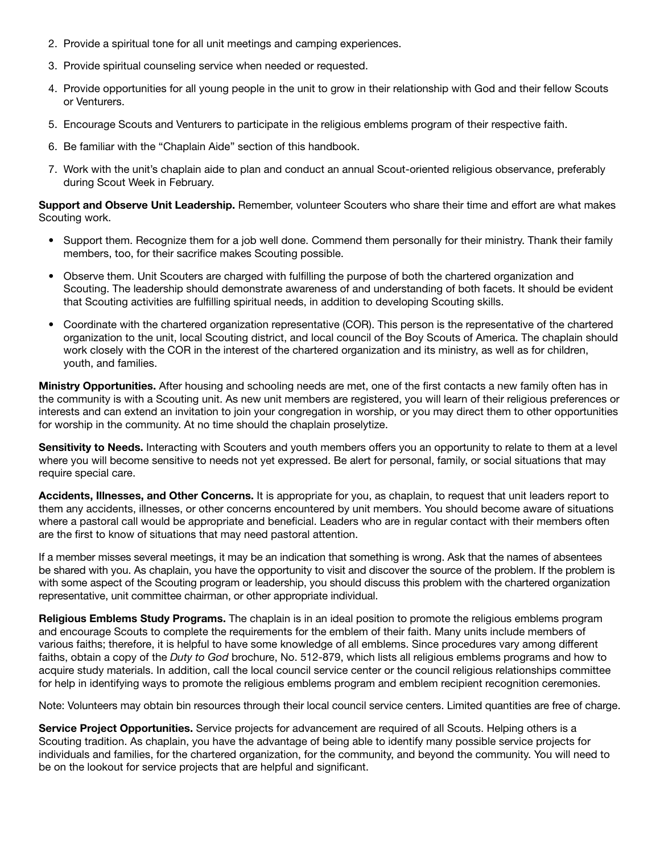- 2. Provide a spiritual tone for all unit meetings and camping experiences.
- 3. Provide spiritual counseling service when needed or requested.
- 4. Provide opportunities for all young people in the unit to grow in their relationship with God and their fellow Scouts or Venturers.
- 5. Encourage Scouts and Venturers to participate in the religious emblems program of their respective faith.
- 6. Be familiar with the "Chaplain Aide" section of this handbook.
- 7. Work with the unit's chaplain aide to plan and conduct an annual Scout-oriented religious observance, preferably during Scout Week in February.

**Support and Observe Unit Leadership.** Remember, volunteer Scouters who share their time and effort are what makes Scouting work.

- Support them. Recognize them for a job well done. Commend them personally for their ministry. Thank their family members, too, for their sacrifice makes Scouting possible.
- Observe them. Unit Scouters are charged with fulfilling the purpose of both the chartered organization and Scouting. The leadership should demonstrate awareness of and understanding of both facets. It should be evident that Scouting activities are fulfilling spiritual needs, in addition to developing Scouting skills.
- • Coordinate with the chartered organization representative (COR). This person is the representative of the chartered organization to the unit, local Scouting district, and local council of the Boy Scouts of America. The chaplain should work closely with the COR in the interest of the chartered organization and its ministry, as well as for children, youth, and families.

**Ministry Opportunities.** After housing and schooling needs are met, one of the first contacts a new family often has in the community is with a Scouting unit. As new unit members are registered, you will learn of their religious preferences or interests and can extend an invitation to join your congregation in worship, or you may direct them to other opportunities for worship in the community. At no time should the chaplain proselytize.

**Sensitivity to Needs.** Interacting with Scouters and youth members offers you an opportunity to relate to them at a level where you will become sensitive to needs not yet expressed. Be alert for personal, family, or social situations that may require special care.

**Accidents, Illnesses, and Other Concerns.** It is appropriate for you, as chaplain, to request that unit leaders report to them any accidents, illnesses, or other concerns encountered by unit members. You should become aware of situations where a pastoral call would be appropriate and beneficial. Leaders who are in regular contact with their members often are the first to know of situations that may need pastoral attention.

If a member misses several meetings, it may be an indication that something is wrong. Ask that the names of absentees be shared with you. As chaplain, you have the opportunity to visit and discover the source of the problem. If the problem is with some aspect of the Scouting program or leadership, you should discuss this problem with the chartered organization representative, unit committee chairman, or other appropriate individual.

**Religious Emblems Study Programs.** The chaplain is in an ideal position to promote the religious emblems program and encourage Scouts to complete the requirements for the emblem of their faith. Many units include members of various faiths; therefore, it is helpful to have some knowledge of all emblems. Since procedures vary among different faiths, obtain a copy of the *Duty to God* brochure, No. 512-879, which lists all religious emblems programs and how to acquire study materials. In addition, call the local council service center or the council religious relationships committee for help in identifying ways to promote the religious emblems program and emblem recipient recognition ceremonies.

Note: Volunteers may obtain bin resources through their local council service centers. Limited quantities are free of charge.

**Service Project Opportunities.** Service projects for advancement are required of all Scouts. Helping others is a Scouting tradition. As chaplain, you have the advantage of being able to identify many possible service projects for individuals and families, for the chartered organization, for the community, and beyond the community. You will need to be on the lookout for service projects that are helpful and significant.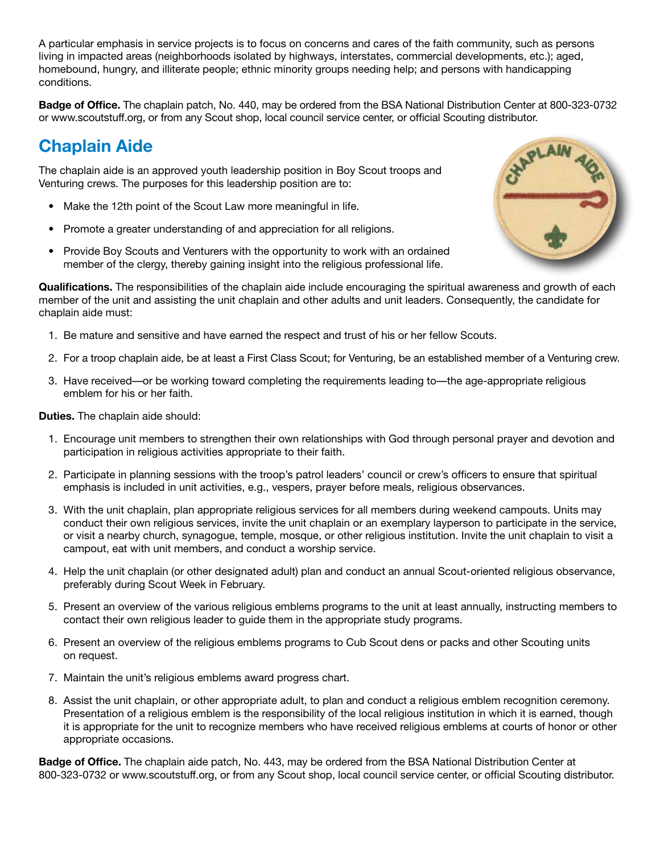A particular emphasis in service projects is to focus on concerns and cares of the faith community, such as persons living in impacted areas (neighborhoods isolated by highways, interstates, commercial developments, etc.); aged, homebound, hungry, and illiterate people; ethnic minority groups needing help; and persons with handicapping conditions.

**Badge of Office.** The chaplain patch, No. 440, may be ordered from the BSA National Distribution Center at 800-323-0732 or www.scoutstuff.org, or from any Scout shop, local council service center, or official Scouting distributor.

#### **Chaplain Aide**

The chaplain aide is an approved youth leadership position in Boy Scout troops and Venturing crews. The purposes for this leadership position are to:

- Make the 12th point of the Scout Law more meaningful in life.
- Promote a greater understanding of and appreciation for all religions.
- Provide Boy Scouts and Venturers with the opportunity to work with an ordained member of the clergy, thereby gaining insight into the religious professional life.



**Qualifications.** The responsibilities of the chaplain aide include encouraging the spiritual awareness and growth of each member of the unit and assisting the unit chaplain and other adults and unit leaders. Consequently, the candidate for chaplain aide must:

- 1. Be mature and sensitive and have earned the respect and trust of his or her fellow Scouts.
- 2. For a troop chaplain aide, be at least a First Class Scout; for Venturing, be an established member of a Venturing crew.
- 3. Have received—or be working toward completing the requirements leading to—the age-appropriate religious emblem for his or her faith.

**Duties.** The chaplain aide should:

- 1. Encourage unit members to strengthen their own relationships with God through personal prayer and devotion and participation in religious activities appropriate to their faith.
- 2. Participate in planning sessions with the troop's patrol leaders' council or crew's officers to ensure that spiritual emphasis is included in unit activities, e.g., vespers, prayer before meals, religious observances.
- 3. With the unit chaplain, plan appropriate religious services for all members during weekend campouts. Units may conduct their own religious services, invite the unit chaplain or an exemplary layperson to participate in the service, or visit a nearby church, synagogue, temple, mosque, or other religious institution. Invite the unit chaplain to visit a campout, eat with unit members, and conduct a worship service.
- 4. Help the unit chaplain (or other designated adult) plan and conduct an annual Scout-oriented religious observance, preferably during Scout Week in February.
- 5. Present an overview of the various religious emblems programs to the unit at least annually, instructing members to contact their own religious leader to guide them in the appropriate study programs.
- 6. Present an overview of the religious emblems programs to Cub Scout dens or packs and other Scouting units on request.
- 7. Maintain the unit's religious emblems award progress chart.
- 8. Assist the unit chaplain, or other appropriate adult, to plan and conduct a religious emblem recognition ceremony. Presentation of a religious emblem is the responsibility of the local religious institution in which it is earned, though it is appropriate for the unit to recognize members who have received religious emblems at courts of honor or other appropriate occasions.

**Badge of Office.** The chaplain aide patch, No. 443, may be ordered from the BSA National Distribution Center at 800-323-0732 or www.scoutstuff.org, or from any Scout shop, local council service center, or official Scouting distributor.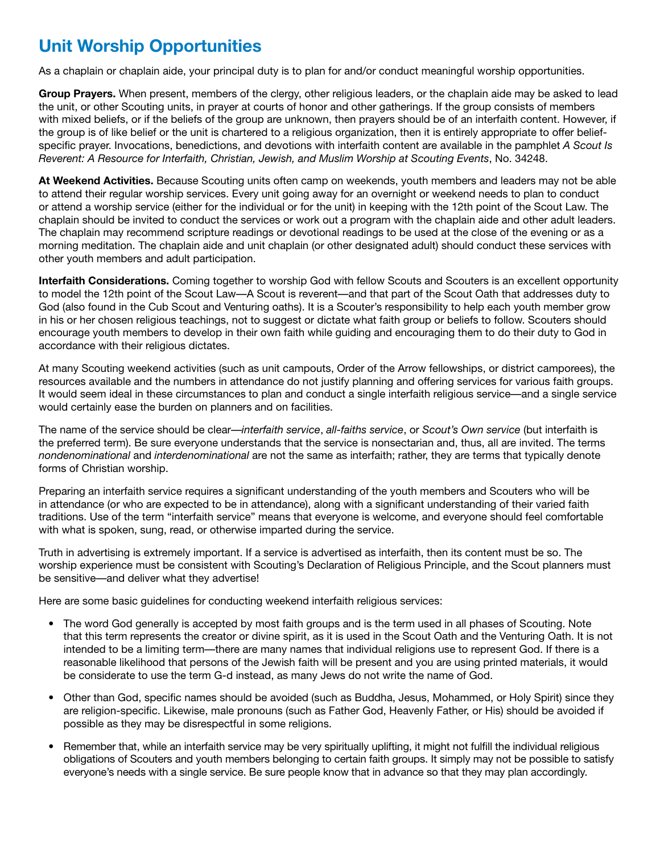## **Unit Worship Opportunities**

As a chaplain or chaplain aide, your principal duty is to plan for and/or conduct meaningful worship opportunities.

**Group Prayers.** When present, members of the clergy, other religious leaders, or the chaplain aide may be asked to lead the unit, or other Scouting units, in prayer at courts of honor and other gatherings. If the group consists of members with mixed beliefs, or if the beliefs of the group are unknown, then prayers should be of an interfaith content. However, if the group is of like belief or the unit is chartered to a religious organization, then it is entirely appropriate to offer beliefspecific prayer. Invocations, benedictions, and devotions with interfaith content are available in the pamphlet *A Scout Is Reverent: A Resource for Interfaith, Christian, Jewish, and Muslim Worship at Scouting Events*, No. 34248.

**At Weekend Activities.** Because Scouting units often camp on weekends, youth members and leaders may not be able to attend their regular worship services. Every unit going away for an overnight or weekend needs to plan to conduct or attend a worship service (either for the individual or for the unit) in keeping with the 12th point of the Scout Law. The chaplain should be invited to conduct the services or work out a program with the chaplain aide and other adult leaders. The chaplain may recommend scripture readings or devotional readings to be used at the close of the evening or as a morning meditation. The chaplain aide and unit chaplain (or other designated adult) should conduct these services with other youth members and adult participation.

**Interfaith Considerations.** Coming together to worship God with fellow Scouts and Scouters is an excellent opportunity to model the 12th point of the Scout Law—A Scout is reverent—and that part of the Scout Oath that addresses duty to God (also found in the Cub Scout and Venturing oaths). It is a Scouter's responsibility to help each youth member grow in his or her chosen religious teachings, not to suggest or dictate what faith group or beliefs to follow. Scouters should encourage youth members to develop in their own faith while guiding and encouraging them to do their duty to God in accordance with their religious dictates.

At many Scouting weekend activities (such as unit campouts, Order of the Arrow fellowships, or district camporees), the resources available and the numbers in attendance do not justify planning and offering services for various faith groups. It would seem ideal in these circumstances to plan and conduct a single interfaith religious service—and a single service would certainly ease the burden on planners and on facilities.

The name of the service should be clear—*interfaith service*, *all-faiths service*, or *Scout's Own service* (but interfaith is the preferred term). Be sure everyone understands that the service is nonsectarian and, thus, all are invited. The terms *nondenominational* and *interdenominational* are not the same as interfaith; rather, they are terms that typically denote forms of Christian worship.

Preparing an interfaith service requires a significant understanding of the youth members and Scouters who will be in attendance (or who are expected to be in attendance), along with a significant understanding of their varied faith traditions. Use of the term "interfaith service" means that everyone is welcome, and everyone should feel comfortable with what is spoken, sung, read, or otherwise imparted during the service.

Truth in advertising is extremely important. If a service is advertised as interfaith, then its content must be so. The worship experience must be consistent with Scouting's Declaration of Religious Principle, and the Scout planners must be sensitive—and deliver what they advertise!

Here are some basic guidelines for conducting weekend interfaith religious services:

- The word God generally is accepted by most faith groups and is the term used in all phases of Scouting. Note that this term represents the creator or divine spirit, as it is used in the Scout Oath and the Venturing Oath. It is not intended to be a limiting term—there are many names that individual religions use to represent God. If there is a reasonable likelihood that persons of the Jewish faith will be present and you are using printed materials, it would be considerate to use the term G-d instead, as many Jews do not write the name of God.
- • Other than God, specific names should be avoided (such as Buddha, Jesus, Mohammed, or Holy Spirit) since they are religion-specific. Likewise, male pronouns (such as Father God, Heavenly Father, or His) should be avoided if possible as they may be disrespectful in some religions.
- • Remember that, while an interfaith service may be very spiritually uplifting, it might not fulfill the individual religious obligations of Scouters and youth members belonging to certain faith groups. It simply may not be possible to satisfy everyone's needs with a single service. Be sure people know that in advance so that they may plan accordingly.